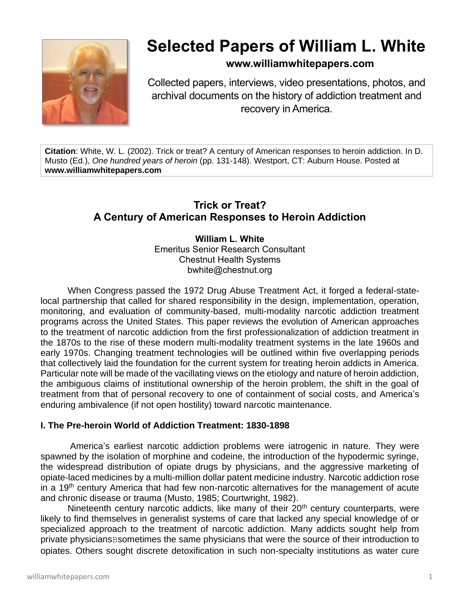

# **Selected Papers of William L. White**

# **www.williamwhitepapers.com**

Collected papers, interviews, video presentations, photos, and archival documents on the history of addiction treatment and recovery in America.

**Citation**: White, W. L. (2002). Trick or treat? A century of American responses to heroin addiction. In D. Musto (Ed.), *One hundred years of heroin* (pp. 131-148). Westport, CT: Auburn House. Posted at **www.williamwhitepapers.com**

# **Trick or Treat? A Century of American Responses to Heroin Addiction**

**William L. White** Emeritus Senior Research Consultant Chestnut Health Systems bwhite@chestnut.org

When Congress passed the 1972 Drug Abuse Treatment Act, it forged a federal-statelocal partnership that called for shared responsibility in the design, implementation, operation, monitoring, and evaluation of community-based, multi-modality narcotic addiction treatment programs across the United States. This paper reviews the evolution of American approaches to the treatment of narcotic addiction from the first professionalization of addiction treatment in the 1870s to the rise of these modern multi-modality treatment systems in the late 1960s and early 1970s. Changing treatment technologies will be outlined within five overlapping periods that collectively laid the foundation for the current system for treating heroin addicts in America. Particular note will be made of the vacillating views on the etiology and nature of heroin addiction, the ambiguous claims of institutional ownership of the heroin problem, the shift in the goal of treatment from that of personal recovery to one of containment of social costs, and America's enduring ambivalence (if not open hostility) toward narcotic maintenance.

# **I. The Pre-heroin World of Addiction Treatment: 1830-1898**

 America's earliest narcotic addiction problems were iatrogenic in nature. They were spawned by the isolation of morphine and codeine, the introduction of the hypodermic syringe, the widespread distribution of opiate drugs by physicians, and the aggressive marketing of opiate-laced medicines by a multi-million dollar patent medicine industry. Narcotic addiction rose in a  $19<sup>th</sup>$  century America that had few non-narcotic alternatives for the management of acute and chronic disease or trauma (Musto, 1985; Courtwright, 1982).

Nineteenth century narcotic addicts, like many of their  $20<sup>th</sup>$  century counterparts, were likely to find themselves in generalist systems of care that lacked any special knowledge of or specialized approach to the treatment of narcotic addiction. Many addicts sought help from private physiciansBsometimes the same physicians that were the source of their introduction to opiates. Others sought discrete detoxification in such non-specialty institutions as water cure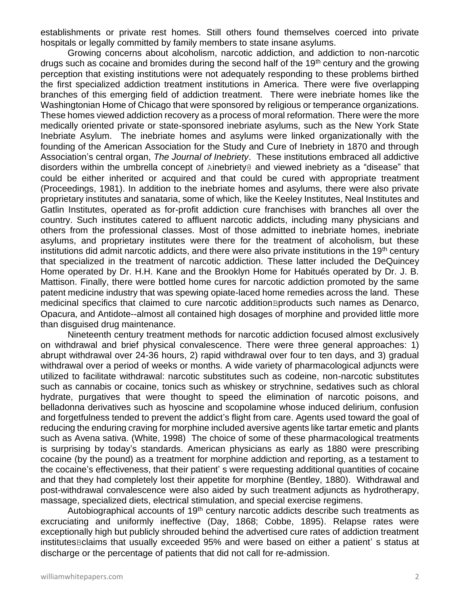establishments or private rest homes. Still others found themselves coerced into private hospitals or legally committed by family members to state insane asylums.

Growing concerns about alcoholism, narcotic addiction, and addiction to non-narcotic drugs such as cocaine and bromides during the second half of the  $19<sup>th</sup>$  century and the growing perception that existing institutions were not adequately responding to these problems birthed the first specialized addiction treatment institutions in America. There were five overlapping branches of this emerging field of addiction treatment. There were inebriate homes like the Washingtonian Home of Chicago that were sponsored by religious or temperance organizations. These homes viewed addiction recovery as a process of moral reformation. There were the more medically oriented private or state-sponsored inebriate asylums, such as the New York State Inebriate Asylum. The inebriate homes and asylums were linked organizationally with the founding of the American Association for the Study and Cure of Inebriety in 1870 and through Association's central organ, *The Journal of Inebriety*. These institutions embraced all addictive disorders within the umbrella concept of Ainebriety@ and viewed inebriety as a "disease" that could be either inherited or acquired and that could be cured with appropriate treatment (Proceedings, 1981). In addition to the inebriate homes and asylums, there were also private proprietary institutes and sanataria, some of which, like the Keeley Institutes, Neal Institutes and Gatlin Institutes, operated as for-profit addiction cure franchises with branches all over the country. Such institutes catered to affluent narcotic addicts, including many physicians and others from the professional classes. Most of those admitted to inebriate homes, inebriate asylums, and proprietary institutes were there for the treatment of alcoholism, but these institutions did admit narcotic addicts, and there were also private institutions in the 19<sup>th</sup> century that specialized in the treatment of narcotic addiction. These latter included the DeQuincey Home operated by Dr. H.H. Kane and the Brooklyn Home for Habitués operated by Dr. J. B. Mattison. Finally, there were bottled home cures for narcotic addiction promoted by the same patent medicine industry that was spewing opiate-laced home remedies across the land. These medicinal specifics that claimed to cure narcotic addition Bproducts such names as Denarco, Opacura, and Antidote--almost all contained high dosages of morphine and provided little more than disguised drug maintenance.

Nineteenth century treatment methods for narcotic addiction focused almost exclusively on withdrawal and brief physical convalescence. There were three general approaches: 1) abrupt withdrawal over 24-36 hours, 2) rapid withdrawal over four to ten days, and 3) gradual withdrawal over a period of weeks or months. A wide variety of pharmacological adjuncts were utilized to facilitate withdrawal: narcotic substitutes such as codeine, non-narcotic substitutes such as cannabis or cocaine, tonics such as whiskey or strychnine, sedatives such as chloral hydrate, purgatives that were thought to speed the elimination of narcotic poisons, and belladonna derivatives such as hyoscine and scopolamine whose induced delirium, confusion and forgetfulness tended to prevent the addict's flight from care. Agents used toward the goal of reducing the enduring craving for morphine included aversive agents like tartar emetic and plants such as Avena sativa. (White, 1998) The choice of some of these pharmacological treatments is surprising by today's standards. American physicians as early as 1880 were prescribing cocaine (by the pound) as a treatment for morphine addiction and reporting, as a testament to the cocaine's effectiveness, that their patient' s were requesting additional quantities of cocaine and that they had completely lost their appetite for morphine (Bentley, 1880). Withdrawal and post-withdrawal convalescence were also aided by such treatment adjuncts as hydrotherapy, massage, specialized diets, electrical stimulation, and special exercise regimens.

Autobiographical accounts of  $19<sup>th</sup>$  century narcotic addicts describe such treatments as excruciating and uniformly ineffective (Day, 1868; Cobbe, 1895). Relapse rates were exceptionally high but publicly shrouded behind the advertised cure rates of addiction treatment institutesBclaims that usually exceeded 95% and were based on either a patient' s status at discharge or the percentage of patients that did not call for re-admission.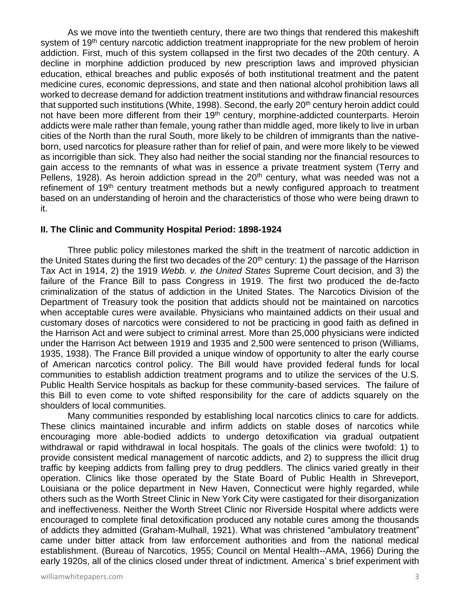As we move into the twentieth century, there are two things that rendered this makeshift system of 19<sup>th</sup> century narcotic addiction treatment inappropriate for the new problem of heroin addiction. First, much of this system collapsed in the first two decades of the 20th century. A decline in morphine addiction produced by new prescription laws and improved physician education, ethical breaches and public exposés of both institutional treatment and the patent medicine cures, economic depressions, and state and then national alcohol prohibition laws all worked to decrease demand for addiction treatment institutions and withdraw financial resources that supported such institutions (White, 1998). Second, the early 20<sup>th</sup> century heroin addict could not have been more different from their 19<sup>th</sup> century, morphine-addicted counterparts. Heroin addicts were male rather than female, young rather than middle aged, more likely to live in urban cities of the North than the rural South, more likely to be children of immigrants than the nativeborn, used narcotics for pleasure rather than for relief of pain, and were more likely to be viewed as incorrigible than sick. They also had neither the social standing nor the financial resources to gain access to the remnants of what was in essence a private treatment system (Terry and Pellens, 1928). As heroin addiction spread in the  $20<sup>th</sup>$  century, what was needed was not a refinement of 19<sup>th</sup> century treatment methods but a newly configured approach to treatment based on an understanding of heroin and the characteristics of those who were being drawn to it.

#### **II. The Clinic and Community Hospital Period: 1898-1924**

 Three public policy milestones marked the shift in the treatment of narcotic addiction in the United States during the first two decades of the  $20<sup>th</sup>$  century: 1) the passage of the Harrison Tax Act in 1914, 2) the 1919 *Webb. v. the United States* Supreme Court decision, and 3) the failure of the France Bill to pass Congress in 1919. The first two produced the de-facto criminalization of the status of addiction in the United States. The Narcotics Division of the Department of Treasury took the position that addicts should not be maintained on narcotics when acceptable cures were available. Physicians who maintained addicts on their usual and customary doses of narcotics were considered to not be practicing in good faith as defined in the Harrison Act and were subject to criminal arrest. More than 25,000 physicians were indicted under the Harrison Act between 1919 and 1935 and 2,500 were sentenced to prison (Williams, 1935, 1938). The France Bill provided a unique window of opportunity to alter the early course of American narcotics control policy. The Bill would have provided federal funds for local communities to establish addiction treatment programs and to utilize the services of the U.S. Public Health Service hospitals as backup for these community-based services. The failure of this Bill to even come to vote shifted responsibility for the care of addicts squarely on the shoulders of local communities.

Many communities responded by establishing local narcotics clinics to care for addicts. These clinics maintained incurable and infirm addicts on stable doses of narcotics while encouraging more able-bodied addicts to undergo detoxification via gradual outpatient withdrawal or rapid withdrawal in local hospitals. The goals of the clinics were twofold: 1) to provide consistent medical management of narcotic addicts, and 2) to suppress the illicit drug traffic by keeping addicts from falling prey to drug peddlers. The clinics varied greatly in their operation. Clinics like those operated by the State Board of Public Health in Shreveport, Louisiana or the police department in New Haven, Connecticut were highly regarded, while others such as the Worth Street Clinic in New York City were castigated for their disorganization and ineffectiveness. Neither the Worth Street Clinic nor Riverside Hospital where addicts were encouraged to complete final detoxification produced any notable cures among the thousands of addicts they admitted (Graham-Mulhall, 1921). What was christened "ambulatory treatment" came under bitter attack from law enforcement authorities and from the national medical establishment. (Bureau of Narcotics, 1955; Council on Mental Health--AMA, 1966) During the early 1920s, all of the clinics closed under threat of indictment. America' s brief experiment with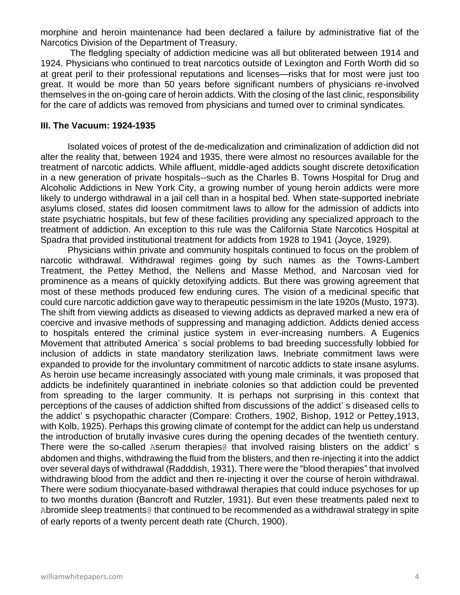morphine and heroin maintenance had been declared a failure by administrative fiat of the Narcotics Division of the Department of Treasury.

The fledgling specialty of addiction medicine was all but obliterated between 1914 and 1924. Physicians who continued to treat narcotics outside of Lexington and Forth Worth did so at great peril to their professional reputations and licenses—risks that for most were just too great. It would be more than 50 years before significant numbers of physicians re-involved themselves in the on-going care of heroin addicts. With the closing of the last clinic, responsibility for the care of addicts was removed from physicians and turned over to criminal syndicates.

#### **III. The Vacuum: 1924-1935**

Isolated voices of protest of the de-medicalization and criminalization of addiction did not alter the reality that, between 1924 and 1935, there were almost no resources available for the treatment of narcotic addicts. While affluent, middle-aged addicts sought discrete detoxification in a new generation of private hospitals--such as the Charles B. Towns Hospital for Drug and Alcoholic Addictions in New York City, a growing number of young heroin addicts were more likely to undergo withdrawal in a jail cell than in a hospital bed. When state-supported inebriate asylums closed, states did loosen commitment laws to allow for the admission of addicts into state psychiatric hospitals, but few of these facilities providing any specialized approach to the treatment of addiction. An exception to this rule was the California State Narcotics Hospital at Spadra that provided institutional treatment for addicts from 1928 to 1941 (Joyce, 1929).

Physicians within private and community hospitals continued to focus on the problem of narcotic withdrawal. Withdrawal regimes going by such names as the Towns-Lambert Treatment, the Pettey Method, the Nellens and Masse Method, and Narcosan vied for prominence as a means of quickly detoxifying addicts. But there was growing agreement that most of these methods produced few enduring cures. The vision of a medicinal specific that could cure narcotic addiction gave way to therapeutic pessimism in the late 1920s (Musto, 1973). The shift from viewing addicts as diseased to viewing addicts as depraved marked a new era of coercive and invasive methods of suppressing and managing addiction. Addicts denied access to hospitals entered the criminal justice system in ever-increasing numbers. A Eugenics Movement that attributed America' s social problems to bad breeding successfully lobbied for inclusion of addicts in state mandatory sterilization laws. Inebriate commitment laws were expanded to provide for the involuntary commitment of narcotic addicts to state insane asylums. As heroin use became increasingly associated with young male criminals, it was proposed that addicts be indefinitely quarantined in inebriate colonies so that addiction could be prevented from spreading to the larger community. It is perhaps not surprising in this context that perceptions of the causes of addiction shifted from discussions of the addict' s diseased cells to the addict' s psychopathic character (Compare: Crothers, 1902, Bishop, 1912 or Pettey,1913, with Kolb, 1925). Perhaps this growing climate of contempt for the addict can help us understand the introduction of brutally invasive cures during the opening decades of the twentieth century. There were the so-called Aserum therapies@ that involved raising blisters on the addict's abdomen and thighs, withdrawing the fluid from the blisters, and then re-injecting it into the addict over several days of withdrawal (Radddish, 1931). There were the "blood therapies" that involved withdrawing blood from the addict and then re-injecting it over the course of heroin withdrawal. There were sodium thiocyanate-based withdrawal therapies that could induce psychoses for up to two months duration (Bancroft and Rutzler, 1931). But even these treatments paled next to Abromide sleep treatments@ that continued to be recommended as a withdrawal strategy in spite of early reports of a twenty percent death rate (Church, 1900).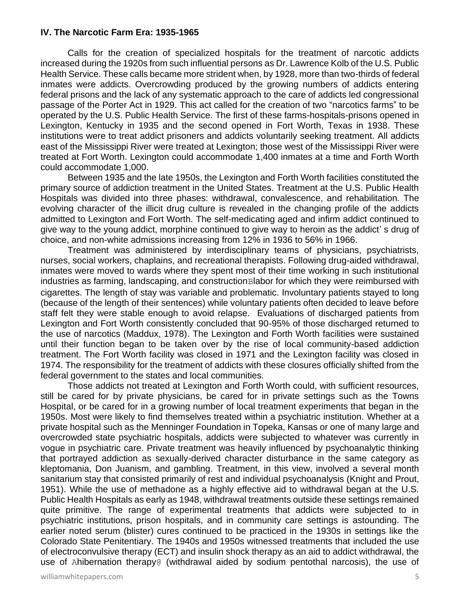### **IV. The Narcotic Farm Era: 1935-1965**

Calls for the creation of specialized hospitals for the treatment of narcotic addicts increased during the 1920s from such influential persons as Dr. Lawrence Kolb of the U.S. Public Health Service. These calls became more strident when, by 1928, more than two-thirds of federal inmates were addicts. Overcrowding produced by the growing numbers of addicts entering federal prisons and the lack of any systematic approach to the care of addicts led congressional passage of the Porter Act in 1929. This act called for the creation of two "narcotics farms" to be operated by the U.S. Public Health Service. The first of these farms-hospitals-prisons opened in Lexington, Kentucky in 1935 and the second opened in Fort Worth, Texas in 1938. These institutions were to treat addict prisoners and addicts voluntarily seeking treatment. All addicts east of the Mississippi River were treated at Lexington; those west of the Mississippi River were treated at Fort Worth. Lexington could accommodate 1,400 inmates at a time and Forth Worth could accommodate 1,000.

Between 1935 and the late 1950s, the Lexington and Forth Worth facilities constituted the primary source of addiction treatment in the United States. Treatment at the U.S. Public Health Hospitals was divided into three phases: withdrawal, convalescence, and rehabilitation. The evolving character of the illicit drug culture is revealed in the changing profile of the addicts admitted to Lexington and Fort Worth. The self-medicating aged and infirm addict continued to give way to the young addict, morphine continued to give way to heroin as the addict' s drug of choice, and non-white admissions increasing from 12% in 1936 to 56% in 1966.

Treatment was administered by interdisciplinary teams of physicians, psychiatrists, nurses, social workers, chaplains, and recreational therapists. Following drug-aided withdrawal, inmates were moved to wards where they spent most of their time working in such institutional industries as farming, landscaping, and construction Blabor for which they were reimbursed with cigarettes. The length of stay was variable and problematic. Involuntary patients stayed to long (because of the length of their sentences) while voluntary patients often decided to leave before staff felt they were stable enough to avoid relapse. Evaluations of discharged patients from Lexington and Fort Worth consistently concluded that 90-95% of those discharged returned to the use of narcotics (Maddux, 1978). The Lexington and Forth Worth facilities were sustained until their function began to be taken over by the rise of local community-based addiction treatment. The Fort Worth facility was closed in 1971 and the Lexington facility was closed in 1974. The responsibility for the treatment of addicts with these closures officially shifted from the federal government to the states and local communities.

Those addicts not treated at Lexington and Forth Worth could, with sufficient resources, still be cared for by private physicians, be cared for in private settings such as the Towns Hospital, or be cared for in a growing number of local treatment experiments that began in the 1950s. Most were likely to find themselves treated within a psychiatric institution. Whether at a private hospital such as the Menninger Foundation in Topeka, Kansas or one of many large and overcrowded state psychiatric hospitals, addicts were subjected to whatever was currently in vogue in psychiatric care. Private treatment was heavily influenced by psychoanalytic thinking that portrayed addiction as sexually-derived character disturbance in the same category as kleptomania, Don Juanism, and gambling. Treatment, in this view, involved a several month sanitarium stay that consisted primarily of rest and individual psychoanalysis (Knight and Prout, 1951). While the use of methadone as a highly effective aid to withdrawal began at the U.S. Public Health Hospitals as early as 1948, withdrawal treatments outside these settings remained quite primitive. The range of experimental treatments that addicts were subjected to in psychiatric institutions, prison hospitals, and in community care settings is astounding. The earlier noted serum (blister) cures continued to be practiced in the 1930s in settings like the Colorado State Penitentiary. The 1940s and 1950s witnessed treatments that included the use of electroconvulsive therapy (ECT) and insulin shock therapy as an aid to addict withdrawal, the use of Ahibernation therapy@ (withdrawal aided by sodium pentothal narcosis), the use of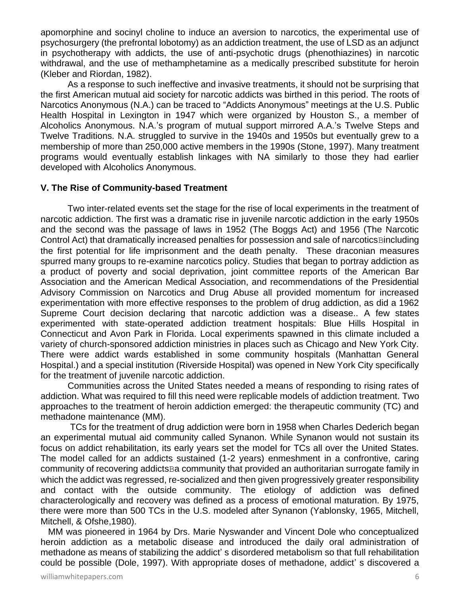apomorphine and socinyl choline to induce an aversion to narcotics, the experimental use of psychosurgery (the prefrontal lobotomy) as an addiction treatment, the use of LSD as an adjunct in psychotherapy with addicts, the use of anti-psychotic drugs (phenothiazines) in narcotic withdrawal, and the use of methamphetamine as a medically prescribed substitute for heroin (Kleber and Riordan, 1982).

As a response to such ineffective and invasive treatments, it should not be surprising that the first American mutual aid society for narcotic addicts was birthed in this period. The roots of Narcotics Anonymous (N.A.) can be traced to "Addicts Anonymous" meetings at the U.S. Public Health Hospital in Lexington in 1947 which were organized by Houston S., a member of Alcoholics Anonymous. N.A.'s program of mutual support mirrored A.A.'s Twelve Steps and Twelve Traditions. N.A. struggled to survive in the 1940s and 1950s but eventually grew to a membership of more than 250,000 active members in the 1990s (Stone, 1997). Many treatment programs would eventually establish linkages with NA similarly to those they had earlier developed with Alcoholics Anonymous.

#### **V. The Rise of Community-based Treatment**

Two inter-related events set the stage for the rise of local experiments in the treatment of narcotic addiction. The first was a dramatic rise in juvenile narcotic addiction in the early 1950s and the second was the passage of laws in 1952 (The Boggs Act) and 1956 (The Narcotic Control Act) that dramatically increased penalties for possession and sale of narcotics Bincluding the first potential for life imprisonment and the death penalty. These draconian measures spurred many groups to re-examine narcotics policy. Studies that began to portray addiction as a product of poverty and social deprivation, joint committee reports of the American Bar Association and the American Medical Association, and recommendations of the Presidential Advisory Commission on Narcotics and Drug Abuse all provided momentum for increased experimentation with more effective responses to the problem of drug addiction, as did a 1962 Supreme Court decision declaring that narcotic addiction was a disease.. A few states experimented with state-operated addiction treatment hospitals: Blue Hills Hospital in Connecticut and Avon Park in Florida. Local experiments spawned in this climate included a variety of church-sponsored addiction ministries in places such as Chicago and New York City. There were addict wards established in some community hospitals (Manhattan General Hospital.) and a special institution (Riverside Hospital) was opened in New York City specifically for the treatment of juvenile narcotic addiction.

Communities across the United States needed a means of responding to rising rates of addiction. What was required to fill this need were replicable models of addiction treatment. Two approaches to the treatment of heroin addiction emerged: the therapeutic community (TC) and methadone maintenance (MM).

TCs for the treatment of drug addiction were born in 1958 when Charles Dederich began an experimental mutual aid community called Synanon. While Synanon would not sustain its focus on addict rehabilitation, its early years set the model for TCs all over the United States. The model called for an addicts sustained (1-2 years) enmeshment in a confrontive, caring community of recovering addicts Ba community that provided an authoritarian surrogate family in which the addict was regressed, re-socialized and then given progressively greater responsibility and contact with the outside community. The etiology of addiction was defined characterologically and recovery was defined as a process of emotional maturation. By 1975, there were more than 500 TCs in the U.S. modeled after Synanon (Yablonsky, 1965, Mitchell, Mitchell, & Ofshe,1980).

 MM was pioneered in 1964 by Drs. Marie Nyswander and Vincent Dole who conceptualized heroin addiction as a metabolic disease and introduced the daily oral administration of methadone as means of stabilizing the addict' s disordered metabolism so that full rehabilitation could be possible (Dole, 1997). With appropriate doses of methadone, addict' s discovered a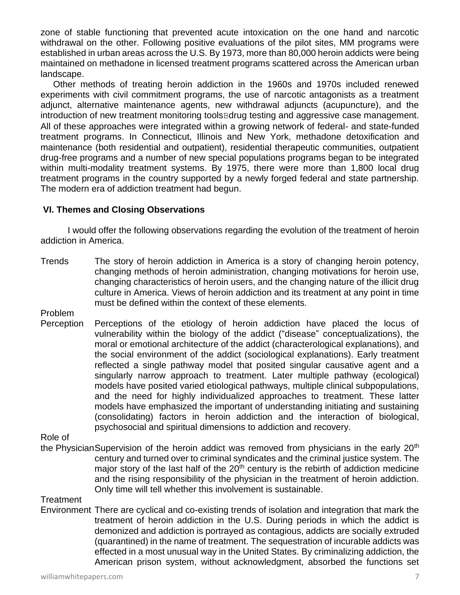zone of stable functioning that prevented acute intoxication on the one hand and narcotic withdrawal on the other. Following positive evaluations of the pilot sites, MM programs were established in urban areas across the U.S. By 1973, more than 80,000 heroin addicts were being maintained on methadone in licensed treatment programs scattered across the American urban landscape.

 Other methods of treating heroin addiction in the 1960s and 1970s included renewed experiments with civil commitment programs, the use of narcotic antagonists as a treatment adjunct, alternative maintenance agents, new withdrawal adjuncts (acupuncture), and the introduction of new treatment monitoring tools Bdrug testing and aggressive case management. All of these approaches were integrated within a growing network of federal- and state-funded treatment programs. In Connecticut, Illinois and New York, methadone detoxification and maintenance (both residential and outpatient), residential therapeutic communities, outpatient drug-free programs and a number of new special populations programs began to be integrated within multi-modality treatment systems. By 1975, there were more than 1,800 local drug treatment programs in the country supported by a newly forged federal and state partnership. The modern era of addiction treatment had begun.

# **VI. Themes and Closing Observations**

 I would offer the following observations regarding the evolution of the treatment of heroin addiction in America.

Trends The story of heroin addiction in America is a story of changing heroin potency, changing methods of heroin administration, changing motivations for heroin use, changing characteristics of heroin users, and the changing nature of the illicit drug culture in America. Views of heroin addiction and its treatment at any point in time must be defined within the context of these elements.

Problem

Perception Perceptions of the etiology of heroin addiction have placed the locus of vulnerability within the biology of the addict ("disease" conceptualizations), the moral or emotional architecture of the addict (characterological explanations), and the social environment of the addict (sociological explanations). Early treatment reflected a single pathway model that posited singular causative agent and a singularly narrow approach to treatment. Later multiple pathway (ecological) models have posited varied etiological pathways, multiple clinical subpopulations, and the need for highly individualized approaches to treatment. These latter models have emphasized the important of understanding initiating and sustaining (consolidating) factors in heroin addiction and the interaction of biological, psychosocial and spiritual dimensions to addiction and recovery.

Role of

the PhysicianSupervision of the heroin addict was removed from physicians in the early 20<sup>th</sup> century and turned over to criminal syndicates and the criminal justice system. The major story of the last half of the  $20<sup>th</sup>$  century is the rebirth of addiction medicine and the rising responsibility of the physician in the treatment of heroin addiction. Only time will tell whether this involvement is sustainable.

# **Treatment**

Environment There are cyclical and co-existing trends of isolation and integration that mark the treatment of heroin addiction in the U.S. During periods in which the addict is demonized and addiction is portrayed as contagious, addicts are socially extruded (quarantined) in the name of treatment. The sequestration of incurable addicts was effected in a most unusual way in the United States. By criminalizing addiction, the American prison system, without acknowledgment, absorbed the functions set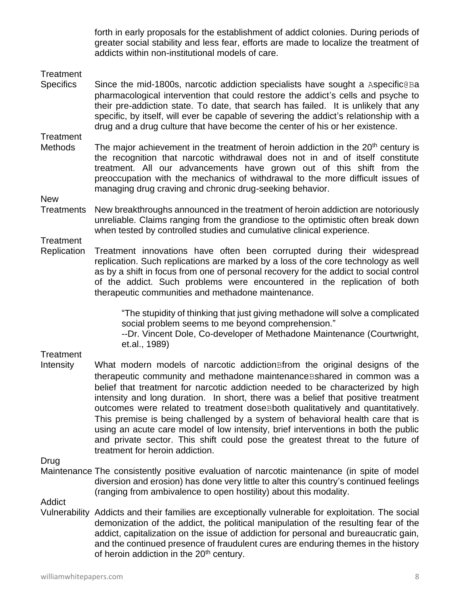forth in early proposals for the establishment of addict colonies. During periods of greater social stability and less fear, efforts are made to localize the treatment of addicts within non-institutional models of care.

### **Treatment**

Specifics Since the mid-1800s, narcotic addiction specialists have sought a Aspecific@Ba pharmacological intervention that could restore the addict's cells and psyche to their pre-addiction state. To date, that search has failed. It is unlikely that any specific, by itself, will ever be capable of severing the addict's relationship with a drug and a drug culture that have become the center of his or her existence.

# **Treatment**

Methods The major achievement in the treatment of heroin addiction in the  $20<sup>th</sup>$  century is the recognition that narcotic withdrawal does not in and of itself constitute treatment. All our advancements have grown out of this shift from the preoccupation with the mechanics of withdrawal to the more difficult issues of managing drug craving and chronic drug-seeking behavior.

New

Treatments New breakthroughs announced in the treatment of heroin addiction are notoriously unreliable. Claims ranging from the grandiose to the optimistic often break down when tested by controlled studies and cumulative clinical experience.

**Treatment** 

Replication Treatment innovations have often been corrupted during their widespread replication. Such replications are marked by a loss of the core technology as well as by a shift in focus from one of personal recovery for the addict to social control of the addict. Such problems were encountered in the replication of both therapeutic communities and methadone maintenance.

> "The stupidity of thinking that just giving methadone will solve a complicated social problem seems to me beyond comprehension."

> --Dr. Vincent Dole, Co-developer of Methadone Maintenance (Courtwright, et.al., 1989)

#### **Treatment**

Intensity What modern models of narcotic addictionBfrom the original designs of the therapeutic community and methadone maintenanceBshared in common was a belief that treatment for narcotic addiction needed to be characterized by high intensity and long duration. In short, there was a belief that positive treatment outcomes were related to treatment doseBboth qualitatively and quantitatively. This premise is being challenged by a system of behavioral health care that is using an acute care model of low intensity, brief interventions in both the public and private sector. This shift could pose the greatest threat to the future of treatment for heroin addiction.

Drug

Maintenance The consistently positive evaluation of narcotic maintenance (in spite of model diversion and erosion) has done very little to alter this country's continued feelings (ranging from ambivalence to open hostility) about this modality.

**Addict** 

Vulnerability Addicts and their families are exceptionally vulnerable for exploitation. The social demonization of the addict, the political manipulation of the resulting fear of the addict, capitalization on the issue of addiction for personal and bureaucratic gain, and the continued presence of fraudulent cures are enduring themes in the history of heroin addiction in the 20<sup>th</sup> century.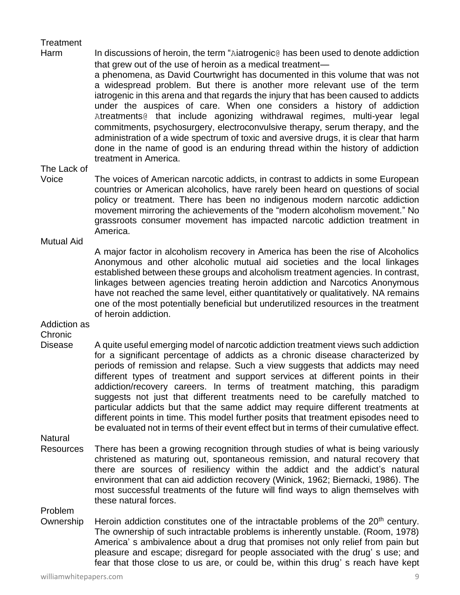# **Treatment**

Harm In discussions of heroin, the term "Aiatrogenic@ has been used to denote addiction that grew out of the use of heroin as a medical treatment a phenomena, as David Courtwright has documented in this volume that was not a widespread problem. But there is another more relevant use of the term iatrogenic in this arena and that regards the injury that has been caused to addicts under the auspices of care. When one considers a history of addiction Atreatments@ that include agonizing withdrawal regimes, multi-year legal commitments, psychosurgery, electroconvulsive therapy, serum therapy, and the administration of a wide spectrum of toxic and aversive drugs, it is clear that harm done in the name of good is an enduring thread within the history of addiction treatment in America.

### The Lack of

Voice The voices of American narcotic addicts, in contrast to addicts in some European countries or American alcoholics, have rarely been heard on questions of social policy or treatment. There has been no indigenous modern narcotic addiction movement mirroring the achievements of the "modern alcoholism movement." No grassroots consumer movement has impacted narcotic addiction treatment in America.

Mutual Aid

A major factor in alcoholism recovery in America has been the rise of Alcoholics Anonymous and other alcoholic mutual aid societies and the local linkages established between these groups and alcoholism treatment agencies. In contrast, linkages between agencies treating heroin addiction and Narcotics Anonymous have not reached the same level, either quantitatively or qualitatively. NA remains one of the most potentially beneficial but underutilized resources in the treatment of heroin addiction.

Addiction as

Chronic

Disease A quite useful emerging model of narcotic addiction treatment views such addiction for a significant percentage of addicts as a chronic disease characterized by periods of remission and relapse. Such a view suggests that addicts may need different types of treatment and support services at different points in their addiction/recovery careers. In terms of treatment matching, this paradigm suggests not just that different treatments need to be carefully matched to particular addicts but that the same addict may require different treatments at different points in time. This model further posits that treatment episodes need to be evaluated not in terms of their event effect but in terms of their cumulative effect.

**Natural** 

Resources There has been a growing recognition through studies of what is being variously christened as maturing out, spontaneous remission, and natural recovery that there are sources of resiliency within the addict and the addict's natural environment that can aid addiction recovery (Winick, 1962; Biernacki, 1986). The most successful treatments of the future will find ways to align themselves with these natural forces.

Problem

Ownership Heroin addiction constitutes one of the intractable problems of the 20<sup>th</sup> century. The ownership of such intractable problems is inherently unstable. (Room, 1978) America' s ambivalence about a drug that promises not only relief from pain but pleasure and escape; disregard for people associated with the drug' s use; and fear that those close to us are, or could be, within this drug' s reach have kept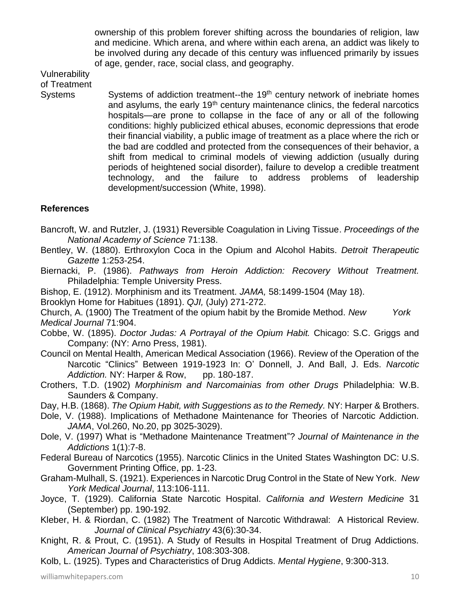ownership of this problem forever shifting across the boundaries of religion, law and medicine. Which arena, and where within each arena, an addict was likely to be involved during any decade of this century was influenced primarily by issues of age, gender, race, social class, and geography.

Vulnerability of Treatment

Systems Systems of addiction treatment--the 19<sup>th</sup> century network of inebriate homes and asylums, the early  $19<sup>th</sup>$  century maintenance clinics, the federal narcotics hospitals—are prone to collapse in the face of any or all of the following conditions: highly publicized ethical abuses, economic depressions that erode their financial viability, a public image of treatment as a place where the rich or the bad are coddled and protected from the consequences of their behavior, a shift from medical to criminal models of viewing addiction (usually during periods of heightened social disorder), failure to develop a credible treatment technology, and the failure to address problems of leadership development/succession (White, 1998).

# **References**

- Bancroft, W. and Rutzler, J. (1931) Reversible Coagulation in Living Tissue. *Proceedings of the National Academy of Science* 71:138.
- Bentley, W. (1880). Erthroxylon Coca in the Opium and Alcohol Habits. *Detroit Therapeutic Gazette* 1:253-254.
- Biernacki, P. (1986). *Pathways from Heroin Addiction: Recovery Without Treatment.*  Philadelphia: Temple University Press.
- Bishop, E. (1912). Morphinism and its Treatment. *JAMA,* 58:1499-1504 (May 18).
- Brooklyn Home for Habitues (1891). *QJI,* (July) 271-272.
- Church, A. (1900) The Treatment of the opium habit by the Bromide Method. *New York Medical Journal* 71:904.
- Cobbe, W. (1895). *Doctor Judas: A Portrayal of the Opium Habit.* Chicago: S.C. Griggs and Company: (NY: Arno Press, 1981).
- Council on Mental Health, American Medical Association (1966). Review of the Operation of the Narcotic "Clinics" Between 1919-1923 In: O' Donnell, J. And Ball, J. Eds. *Narcotic*  Addiction. NY: Harper & Row, pp. 180-187.
- Crothers, T.D. (1902) *Morphinism and Narcomainias from other Drugs* Philadelphia: W.B. Saunders & Company.
- Day, H.B. (1868). *The Opium Habit, with Suggestions as to the Remedy.* NY: Harper & Brothers.
- Dole, V. (1988). Implications of Methadone Maintenance for Theories of Narcotic Addiction. *JAMA*, Vol.260, No.20, pp 3025-3029).
- Dole, V. (1997) What is "Methadone Maintenance Treatment"? *Journal of Maintenance in the Addictions* 1(1):7-8.
- Federal Bureau of Narcotics (1955). Narcotic Clinics in the United States Washington DC: U.S. Government Printing Office, pp. 1-23.
- Graham-Mulhall, S. (1921). Experiences in Narcotic Drug Control in the State of New York. *New York Medical Journal*, 113:106-111.
- Joyce, T. (1929). California State Narcotic Hospital. *California and Western Medicine* 31 (September) pp. 190-192.
- Kleber, H. & Riordan, C. (1982) The Treatment of Narcotic Withdrawal: A Historical Review. *Journal of Clinical Psychiatry* 43(6):30-34.
- Knight, R. & Prout, C. (1951). A Study of Results in Hospital Treatment of Drug Addictions. *American Journal of Psychiatry*, 108:303-308.
- Kolb, L. (1925). Types and Characteristics of Drug Addicts. *Mental Hygiene*, 9:300-313.